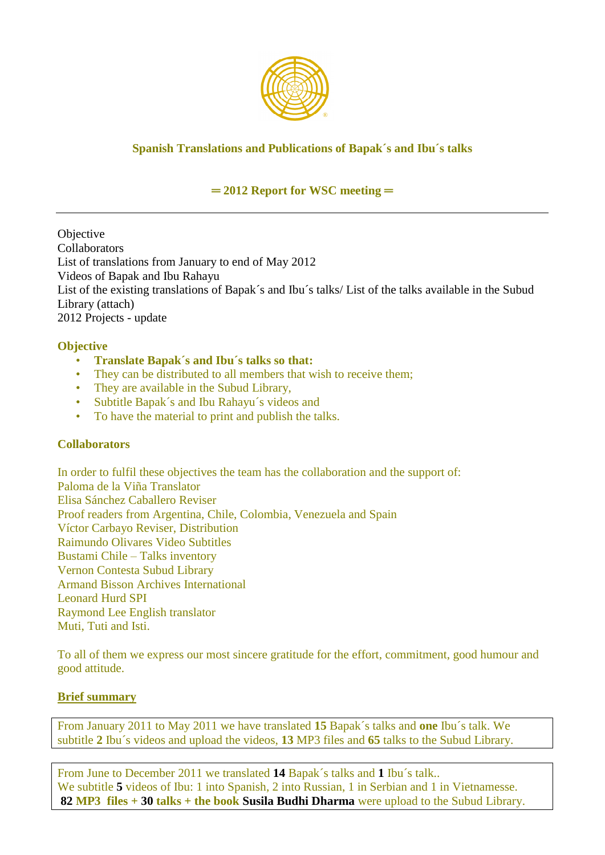

# **Spanish Translations and Publications of Bapak´s and Ibu´s talks**

## **═ 2012 Report for WSC meeting ═**

**Objective Collaborators** List of translations from January to end of May 2012 Videos of Bapak and Ibu Rahayu List of the existing translations of Bapak´s and Ibu´s talks/ List of the talks available in the Subud Library (attach) 2012 Projects - update

## **Objective**

- **Translate Bapak´s and Ibu´s talks so that:**
- They can be distributed to all members that wish to receive them;
- They are available in the Subud Library,
- Subtitle Bapak´s and Ibu Rahayu´s videos and
- To have the material to print and publish the talks.

## **Collaborators**

In order to fulfil these objectives the team has the collaboration and the support of: Paloma de la Viña Translator Elisa Sánchez Caballero Reviser Proof readers from Argentina, Chile, Colombia, Venezuela and Spain Víctor Carbayo Reviser, Distribution Raimundo Olivares Video Subtitles Bustami Chile – Talks inventory Vernon Contesta Subud Library Armand Bisson Archives International Leonard Hurd SPI Raymond Lee English translator Muti, Tuti and Isti.

To all of them we express our most sincere gratitude for the effort, commitment, good humour and good attitude.

## **Brief summary**

From January 2011 to May 2011 we have translated **15** Bapak´s talks and **one** Ibu´s talk. We subtitle **2** Ibu´s videos and upload the videos, **13** MP3 files and **65** talks to the Subud Library.

From June to December 2011 we translated **14** Bapak´s talks and **1** Ibu´s talk.. We subtitle **5** videos of Ibu: 1 into Spanish, 2 into Russian, 1 in Serbian and 1 in Vietnamesse. **82 MP3 files + 30 talks + the book Susila Budhi Dharma** were upload to the Subud Library.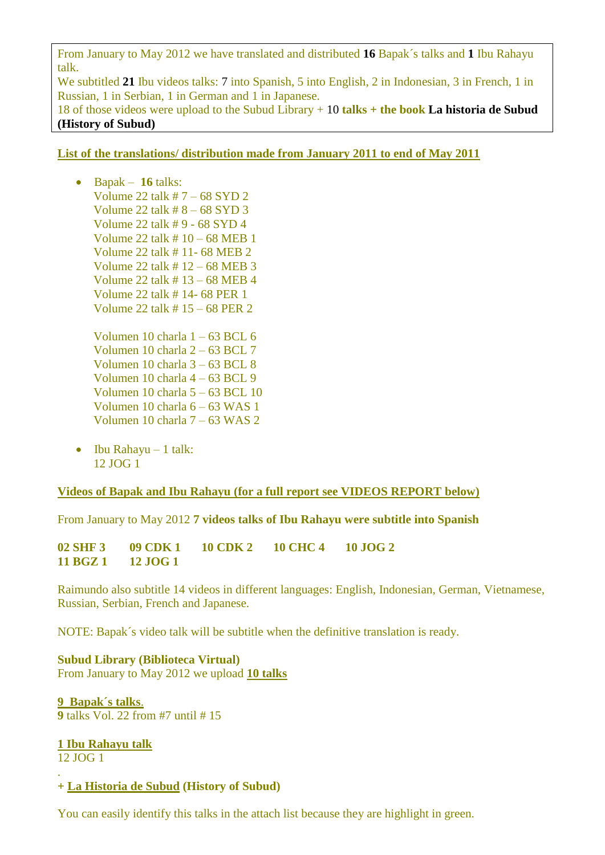From January to May 2012 we have translated and distributed **16** Bapak´s talks and **1** Ibu Rahayu talk.

We subtitled **21** Ibu videos talks: 7 into Spanish, 5 into English, 2 in Indonesian, 3 in French, 1 in Russian, 1 in Serbian, 1 in German and 1 in Japanese.

18 of those videos were upload to the Subud Library + 10 **talks + the book La historia de Subud (History of Subud)**

#### **List of the translations/ distribution made from January 2011 to end of May 2011**

- Bapak **16** talks: Volume 22 talk  $# 7 - 68$  SYD 2 Volume 22 talk # 8 – 68 SYD 3 Volume 22 talk # 9 - 68 SYD 4 Volume 22 talk # 10 – 68 MEB 1 Volume 22 talk # 11- 68 MEB 2 Volume 22 talk # 12 – 68 MEB 3 Volume 22 talk # 13 – 68 MEB 4 Volume 22 talk # 14- 68 PER 1 Volume 22 talk # 15 – 68 PER 2
	- Volumen 10 charla 1 63 BCL 6 Volumen 10 charla 2 – 63 BCL 7 Volumen 10 charla 3 – 63 BCL 8 Volumen 10 charla 4 – 63 BCL 9 Volumen 10 charla 5 – 63 BCL 10 Volumen 10 charla 6 – 63 WAS 1 Volumen 10 charla 7 – 63 WAS 2
- $\bullet$  Ibu Rahayu 1 talk: 12 JOG 1

#### **Videos of Bapak and Ibu Rahayu (for a full report see VIDEOS REPORT below)**

From January to May 2012 **7 videos talks of Ibu Rahayu were subtitle into Spanish**

**02 SHF 3 09 CDK 1 10 CDK 2 10 CHC 4 10 JOG 2 11 BGZ 1 12 JOG 1**

Raimundo also subtitle 14 videos in different languages: English, Indonesian, German, Vietnamese, Russian, Serbian, French and Japanese.

NOTE: Bapak´s video talk will be subtitle when the definitive translation is ready.

**Subud Library (Biblioteca Virtual)** From January to May 2012 we upload **10 talks**

**9 Bapak´s talks**. **9** talks Vol. 22 from #7 until # 15

**1 Ibu Rahayu talk** 12 JOG 1

.

#### **+ La Historia de Subud (History of Subud)**

You can easily identify this talks in the attach list because they are highlight in green.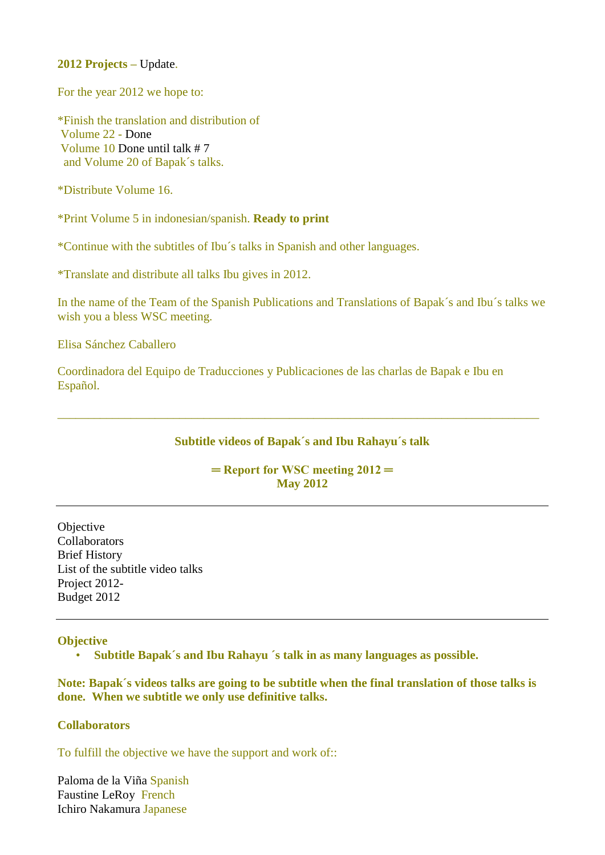**2012 Projects –** Update.

For the year 2012 we hope to:

\*Finish the translation and distribution of Volume 22 - Done Volume 10 Done until talk # 7 and Volume 20 of Bapak´s talks.

\*Distribute Volume 16.

\*Print Volume 5 in indonesian/spanish. **Ready to print**

\*Continue with the subtitles of Ibu´s talks in Spanish and other languages.

\*Translate and distribute all talks Ibu gives in 2012.

In the name of the Team of the Spanish Publications and Translations of Bapak´s and Ibu´s talks we wish you a bless WSC meeting.

Elisa Sánchez Caballero

Coordinadora del Equipo de Traducciones y Publicaciones de las charlas de Bapak e Ibu en Español.

#### **Subtitle videos of Bapak´s and Ibu Rahayu´s talk**

\_\_\_\_\_\_\_\_\_\_\_\_\_\_\_\_\_\_\_\_\_\_\_\_\_\_\_\_\_\_\_\_\_\_\_\_\_\_\_\_\_\_\_\_\_\_\_\_\_\_\_\_\_\_\_\_\_\_\_\_\_\_\_\_\_\_\_\_\_\_\_\_\_\_\_\_\_\_\_

**═ Report for WSC meeting 2012 ═ May 2012**

**Objective Collaborators** Brief History List of the subtitle video talks Project 2012- Budget 2012

#### **Objective**

• **Subtitle Bapak´s and Ibu Rahayu ´s talk in as many languages as possible.**

**Note: Bapak´s videos talks are going to be subtitle when the final translation of those talks is done. When we subtitle we only use definitive talks.** 

#### **Collaborators**

To fulfill the objective we have the support and work of::

Paloma de la Viña Spanish Faustine LeRoy French Ichiro Nakamura Japanese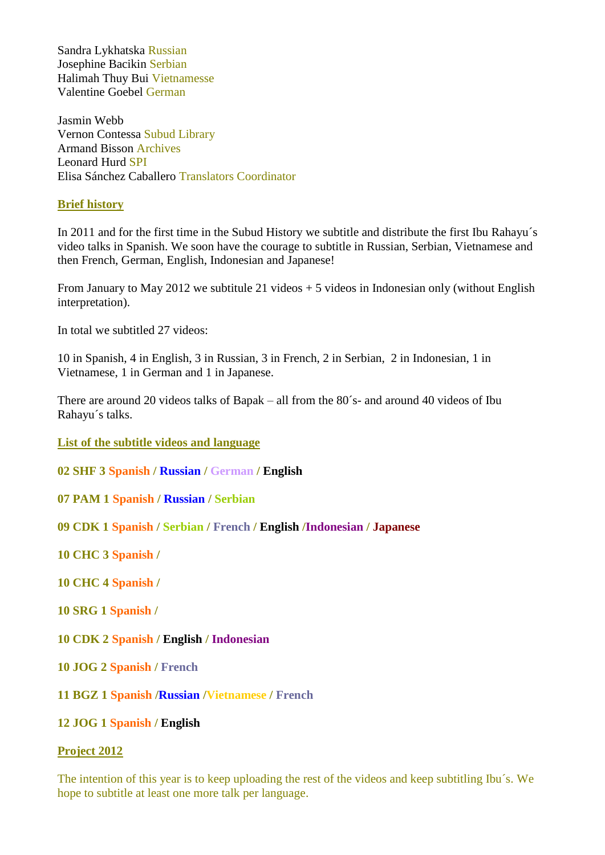Sandra Lykhatska Russian Josephine Bacikin Serbian Halimah Thuy Bui Vietnamesse Valentine Goebel German

Jasmin Webb Vernon Contessa Subud Library Armand Bisson Archives Leonard Hurd SPI Elisa Sánchez Caballero Translators Coordinator

#### **Brief history**

In 2011 and for the first time in the Subud History we subtitle and distribute the first Ibu Rahayu´s video talks in Spanish. We soon have the courage to subtitle in Russian, Serbian, Vietnamese and then French, German, English, Indonesian and Japanese!

From January to May 2012 we subtitule 21 videos  $+5$  videos in Indonesian only (without English interpretation).

In total we subtitled 27 videos:

10 in Spanish, 4 in English, 3 in Russian, 3 in French, 2 in Serbian, 2 in Indonesian, 1 in Vietnamese, 1 in German and 1 in Japanese.

There are around 20 videos talks of Bapak – all from the 80´s- and around 40 videos of Ibu Rahayu´s talks.

**List of the subtitle videos and language**

**02 SHF 3 Spanish / Russian / German / English**

**07 PAM 1 Spanish / Russian / Serbian**

**09 CDK 1 Spanish / Serbian / French / English /Indonesian / Japanese**

**10 CHC 3 Spanish /**

**10 CHC 4 Spanish /**

**10 SRG 1 Spanish /**

- **10 CDK 2 Spanish / English / Indonesian**
- **10 JOG 2 Spanish / French**

**11 BGZ 1 Spanish /Russian /Vietnamese / French**

#### **12 JOG 1 Spanish / English**

#### **Project 2012**

The intention of this year is to keep uploading the rest of the videos and keep subtitling Ibu´s. We hope to subtitle at least one more talk per language.